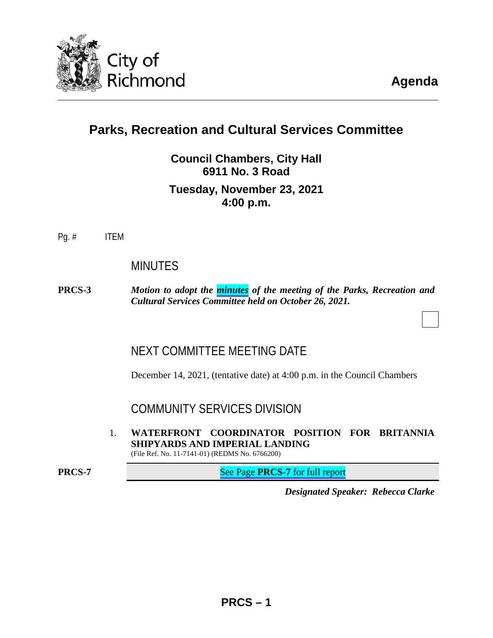

**Agenda**

# **Parks, Recreation and Cultural Services Committee**

**Council Chambers, City Hall 6911 No. 3 Road Tuesday, November 23, 2021 4:00 p.m.**

Pg. # ITEM

## MINUTES

**PRCS-3** *Motion to adopt the [minutes](#page-2-0) of the meeting of the Parks, Recreation and Cultural Services Committee held on October 26, 2021.* 

## NEXT COMMITTEE MEETING DATE

December 14, 2021, (tentative date) at 4:00 p.m. in the Council Chambers

COMMUNITY SERVICES DIVISION

1. **WATERFRONT COORDINATOR POSITION FOR BRITANNIA SHIPYARDS AND IMPERIAL LANDING** (File Ref. No. 11-7141-01) (REDMS No. 6766200)

**PRCS-7** See Page **PRCS-7** [for full report](#page-6-0)

*Designated Speaker: Rebecca Clarke*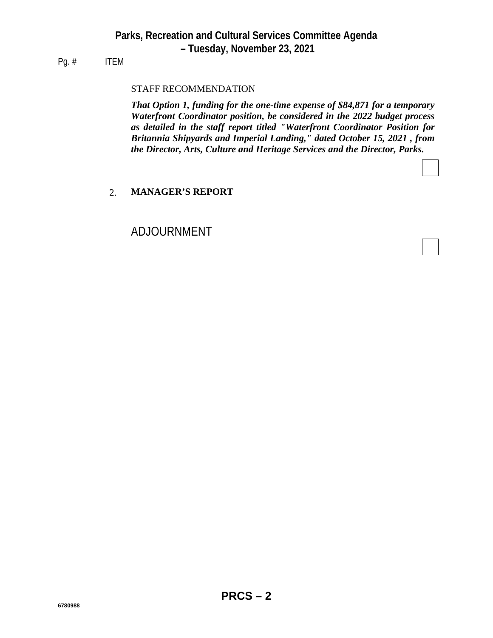## Pg. # ITEM

## STAFF RECOMMENDATION

*That Option 1, funding for the one-time expense of \$84,871 for a temporary Waterfront Coordinator position, be considered in the 2022 budget process as detailed in the staff report titled "Waterfront Coordinator Position for Britannia Shipyards and Imperial Landing," dated October 15, 2021 , from the Director, Arts, Culture and Heritage Services and the Director, Parks.*

### 2. **MANAGER'S REPORT**

## ADJOURNMENT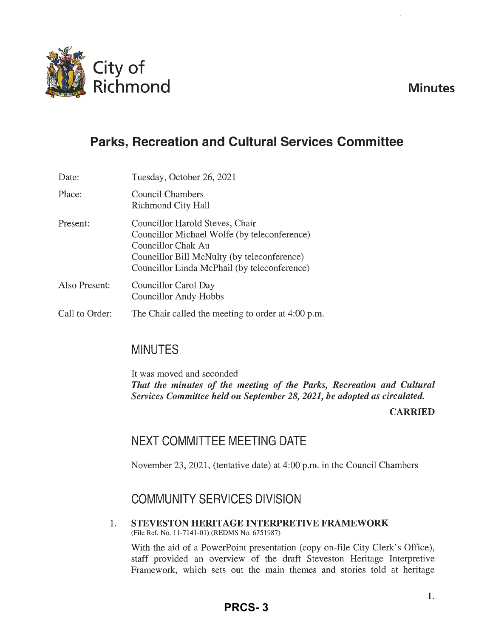**Minutes** 

<span id="page-2-0"></span>

# **Parks, Recreation and Cultural Services Committee**

| Date:          | Tuesday, October 26, 2021                                                                                                                                                                            |
|----------------|------------------------------------------------------------------------------------------------------------------------------------------------------------------------------------------------------|
| Place:         | Council Chambers<br>Richmond City Hall                                                                                                                                                               |
| Present:       | Councillor Harold Steves, Chair<br>Councillor Michael Wolfe (by teleconference)<br>Councillor Chak Au<br>Councillor Bill McNulty (by teleconference)<br>Councillor Linda McPhail (by teleconference) |
| Also Present:  | Councillor Carol Day<br><b>Councillor Andy Hobbs</b>                                                                                                                                                 |
| Call to Order: | The Chair called the meeting to order at 4:00 p.m.                                                                                                                                                   |

## MINUTES

It was moved and seconded *That the minutes of the meeting of the Parks, Recreation and Cultural Services Committee held on September 28, 2021, be adopted as circulated.* 

**CARRIED** 

# NEXT COMMITTEE MEETING DATE

November 23, 2021, (tentative date) at 4:00 p.m. in the Council Chambers

# COMMUNITY SERVICES DIVISION

1. **STEVESTON HERITAGE INTERPRETIVE FRAMEWORK**  (File Ref. No. 11-7141-01) (REDMS No. 6751987)

With the aid of a PowerPoint presentation (copy on-file City Clerk's Office), staff provided an overview of the draft Steveston Heritage Interpretive Framework, which sets out the main themes and stories told at heritage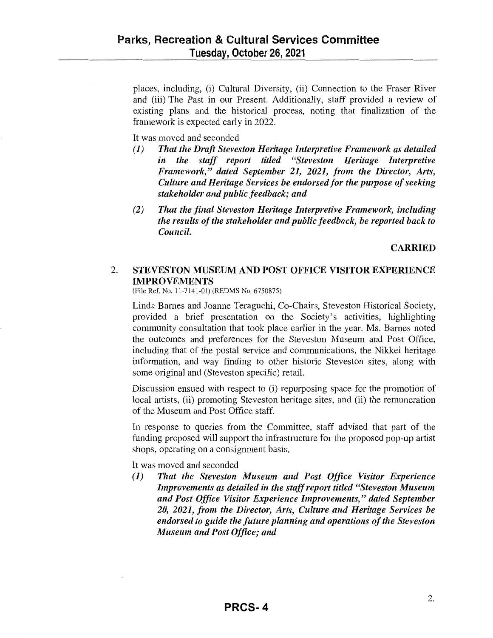places, including, (i) Cultural Diversity, (ii) Connection to the Fraser River and (iii) The Past in our Present. Additionally, staff provided a review of existing plans and the historical process, noting that finalization of the framework is expected early in 2022.

It was moved and seconded

- **(1)** *That the Draft Steveston Heritage Interpretive Framework as detailed in the staff report titled "Steveston Heritage Interpretive Framework," dated September 21, 2021, from the Director, Arts, Culture and Heritage Services be endorsed for the purpose of seeking stakeholder and public feedback; and*
- *(2) That the final Steveston Heritage Interpretive Framework, including the results of the stakeholder and public feedback, be reported back to Council.*

**CARRIED** 

## 2. **STEVESTON MUSEUM AND POST OFFICE VISITOR EXPERIENCE IMPROVEMENTS**

(File Ref. No. 11-7141-01) (REDMS No. 6750875)

Linda Barnes and Joanne Teraguchi, Co-Chairs, Steveston Historical Society, provided a brief presentation on the Society's activities, highlighting community consultation that took place earlier in the year. Ms. Barnes noted the outcomes and preferences for the Steveston Museum and Post Office, including that of the postal service and communications, the Nikkei heritage information, and way finding to other historic Steveston sites, along with some original and (Steveston specific) retail.

Discussion ensued with respect to (i) repurposing space for the promotion of local artists, (ii) promoting Steveston heritage sites, and (ii) the remuneration of the Museum and Post Office staff.

In response to queries from the Committee, staff advised that part of the funding proposed will support the infrastructure for the proposed pop-up artist shops, operating on a consignment basis.

It was moved and seconded

**(1)** *That the Steveston Museum and Post Office Visitor Experience Improvements as detailed in the staff report titled "Steveston Museum and Post Office Visitor Experience Improvements," dated September 20, 2021, from the Director, Arts, Culture and Heritage Services be endorsed to guide the future planning and operations of the Steveston Museum and Post Office; and*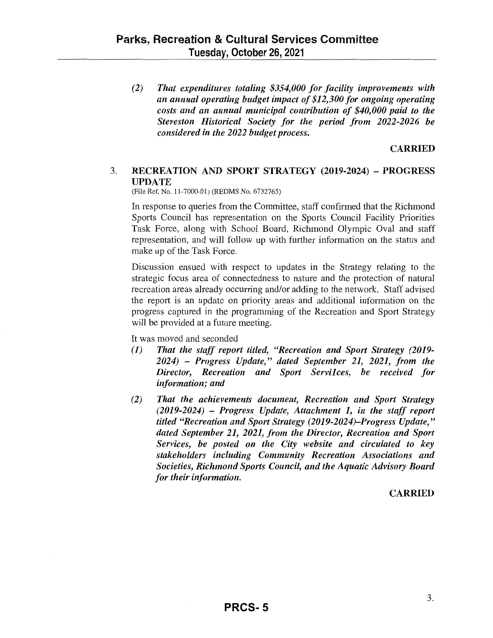*(2) That expenditures totaling \$354,000 for facility improvements with an annual operating budget impact of \$12,300 for ongoing operating costs and an annual municipal contribution of \$40,000 paid to the Steveston Historical Society for the period from 2022-2026 be considered in the 2022 budget process.* 

### **CARRIED**

### 3. **RECREATION AND SPORT STRATEGY (2019-2024)** - **PROGRESS UPDATE**

(File Ref. No. 11-7000-01) (REDMS No. 6732765)

In response to queries from the Committee, staff confirmed that the Richmond Sports Council has representation on the Sports Council Facility Priorities Task Force, along with School Board, Richmond Olympic Oval and staff representation, and will follow up with further information on the status and make up of the Task Force.

Discussion ensued with respect to updates in the Strategy relating to the strategic focus area of connectedness to nature and the protection of natural recreation areas already occurring and/or adding to the network. Staff advised the report is an update on priority areas and additional information on the progress captured in the programming of the Recreation and Sport Strategy will be provided at a future meeting.

It was moved and seconded

- **(1)** *That the staff report titled, "Recreation and Sport Strategy (2019- 2024)* - *Progress Update," dated September 21, 2021, from the Director, Recreation and Sport Servilces, be received for information; and*
- (2) That the achievements document, Recreation and Sport Strategy *(2019-2024)* - *Progress Update, Attachment 1, in the staff report titled "Recreation and Sport Strategy (2019-2024)-Progress Update," dated September 21, 2021, from the Director, Recreation and Sport Services, be posted 011 the City website and circulated to key*  stakeholders including Community Recreation Associations and *Societies, Richmond Sports Council, and the Aquatic Advisory Board for their information.*

### **CARRIED**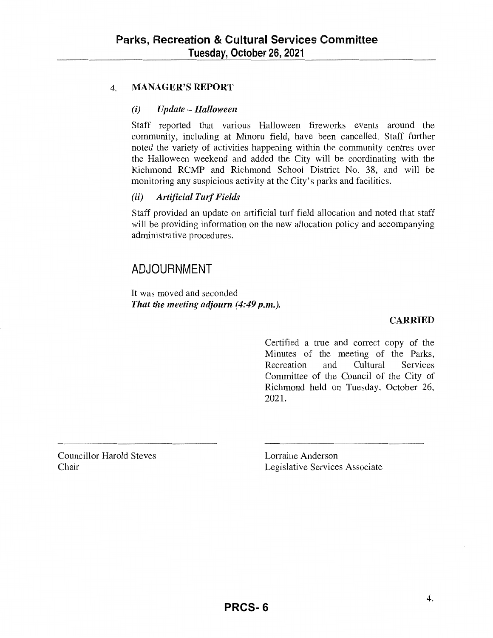## 4. **MANAGER'S REPORT**

### *(i) Update-Halloween*

Staff reported that various Halloween fireworks events around the community, including at Minoru field, have been cancelled. Staff further noted the variety of activities happening within the community centres over the Halloween weekend and added the City will be coordinating with the Richmond RCMP and Richmond School District No. 38, and will be monitoring any suspicious activity at the City's parks and facilities.

## *(ii) Artificial Turf Fields*

Staff provided an update on artificial turf field allocation and noted that staff will be providing information on the new allocation policy and accompanying administrative procedures.

## **ADJOURNMENT**

It was moved and seconded *That the meeting adjourn ( 4:49 p.m.).* 

### **CARRIED**

Certified a true and correct copy of the Minutes of the meeting of the Parks, Recreation and Cultural Services Committee of the Council of the City of Richmond held on Tuesday, October 26, 2021.

Councillor Harold Steves Chair

Lorraine Anderson Legislative Services Associate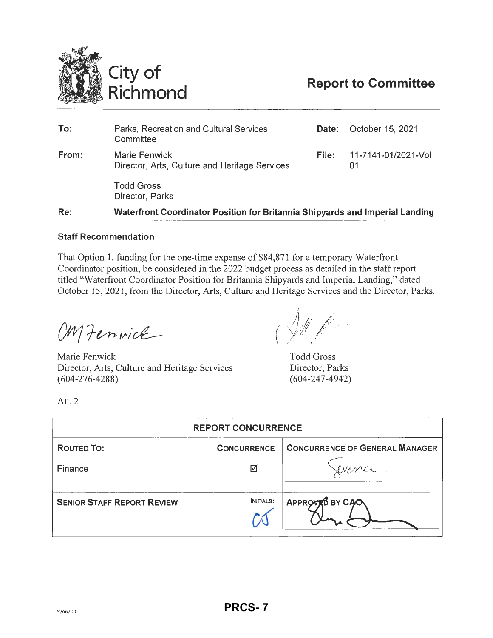<span id="page-6-0"></span>

| Re:   | Waterfront Coordinator Position for Britannia Shipyards and Imperial Landing |              |                           |
|-------|------------------------------------------------------------------------------|--------------|---------------------------|
|       | <b>Todd Gross</b><br>Director, Parks                                         |              |                           |
| From: | Marie Fenwick<br>Director, Arts, Culture and Heritage Services               | File:        | 11-7141-01/2021-Vol<br>01 |
| To:   | Parks, Recreation and Cultural Services<br>Committee                         | <b>Date:</b> | October 15, 2021          |
|       |                                                                              |              |                           |

### **Staff Recommendation**

That Option 1, funding for the one-time expense of \$84,871 for a temporary Waterfront Coordinator position, be considered in the 2022 budget process as detailed in the staff report titled "Waterfront Coordinator Position for Britannia Shipyards and Imperial Landing," dated October 15, 2021, from the Director, Arts, Culture and Heritage Services and the Director, Parks.

OM Fenvice

Marie Fenwick Director, Arts, Culture and Heritage Services (604-276-4288)

Todd Gross Director, Parks (604-247-4942)

Att. 2

| <b>REPORT CONCURRENCE</b>               |                  |                                       |  |  |  |
|-----------------------------------------|------------------|---------------------------------------|--|--|--|
| <b>ROUTED TO:</b><br><b>CONCURRENCE</b> |                  | <b>CONCURRENCE OF GENERAL MANAGER</b> |  |  |  |
| Finance                                 | ☑                |                                       |  |  |  |
| <b>SENIOR STAFF REPORT REVIEW</b>       | <b>INITIALS:</b> | APPROVED BY CAO                       |  |  |  |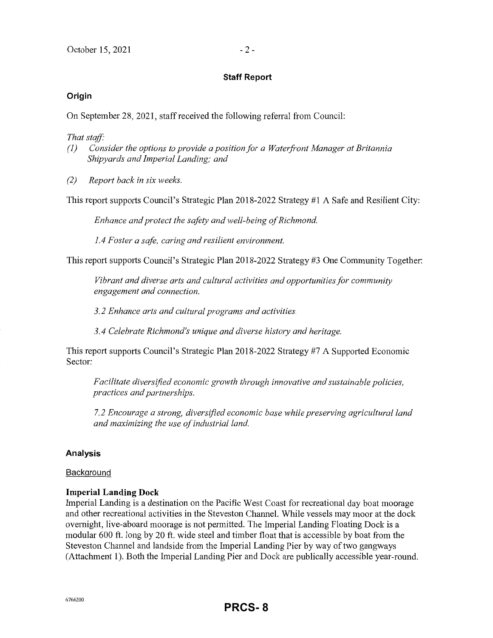### **Staff Report**

### **Origin**

On September 28, 2021, staff received the following referral from Council:

#### *That staff:*

- *(1)* Consider the options to provide a position for a Waterfront Manager at Britannia *Shipyards and Imperial Landing; and*
- *(2) Report back in six weeks.*

This report supports Council's Strategic Plan 2018-2022 Strategy #1 A Safe and Resilient City:

*Enhance and protect the safety and well-being of Richmond.* 

*1.4 Foster a safe, caring and resilient environment.* 

This report supports Council's Strategic Plan 2018-2022 Strategy #3 One Community Together:

*Vibrant and diverse arts and cultural activities and opportunities for community engagement and connection.* 

*3.2 Enhance arts and cultural programs and activities.* 

*3.4 Celebrate Richmond's unique and diverse history and heritage.* 

This report supports Council's Strategic Plan 2018-2022 Strategy #7 A Supported Economic Sector:

*Facilitate diversified economic growth through innovative and sustainable policies, practices and partnerships.* 

*7.2 Encourage a strong, diversified economic base while preserving agricultural land and maximizing the use of industrial land.* 

### **Analysis**

#### **Background**

### **Imperial Landing Dock**

Imperial Landing is a destination on the Pacific West Coast for recreational day boat moorage and other recreational activities in the Steveston Channel. While vessels may moor at the dock overnight, live-aboard moorage is not pennitted. The hnperial Landing Floating Dock is a modular 600 ft. long by 20 ft. wide steel and timber float that is accessible by boat from the Steveston Channel and landside from the Imperial Landing Pier by way of two gangways (Attachment 1). Both the Imperial Landing Pier and Dock are publically accessible year-round.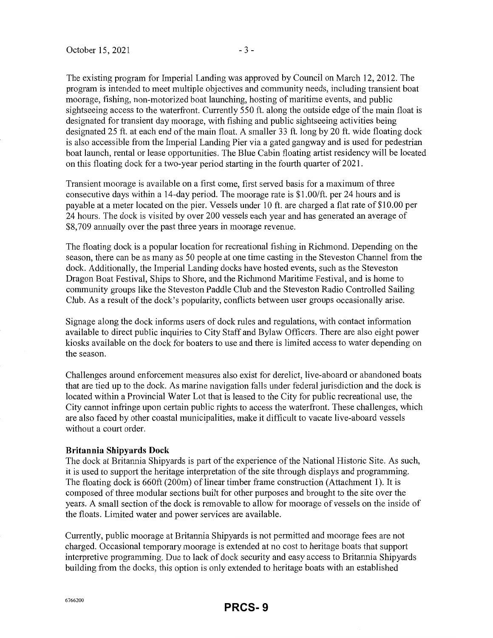The existing program for Imperial Landing was approved by Council on March 12, 2012. The program is intended to meet multiple objectives and community needs, including transient boat moorage, fishing, non-motorized boat launching, hosting of maritime events, and public sightseeing access to the waterfront. Currently 550 ft. along the outside edge of the main float is designated for transient day moorage, with fishing and public sightseeing activities being designated 25 ft. at each end of the main float. A smaller 33 ft. long by 20 ft. wide floating dock is also accessible from the Imperial Landing Pier via a gated gangway and is used for pedestrian boat launch, rental or lease opportunities. The Blue Cabin floating artist residency will be located on this floating dock for a two-year period starting in the fourth quarter of 2021.

Transient moorage is available on a first come, first served basis for a maximum of three consecutive days within a 14-day period. The moorage rate is \$1.00/ft. per 24 hours and is payable at a meter located on the pier. Vessels under 10 ft. are charged a flat rate of \$10.00 per 24 hours. The dock is visited by over 200 vessels each year and has generated an average of \$8,709 annually over the past three years in moorage revenue.

The floating dock is a popular location for recreational fishing in Richmond. Depending on the season, there can be as many as 50 people at one time casting in the Steveston Channel from the dock. Additionally, the Imperial Landing docks have hosted events, such as the Steveston Dragon Boat Festival, Ships to Shore, and the Richmond Maritime Festival, and is home to community groups like the Steveston Paddle Club and the Steveston Radio Controlled Sailing Club. As a result of the dock's popularity, conflicts between user groups occasionally arise.

Signage along the dock informs users of dock rules and regulations, with contact information available to direct public inquiries to City Staff and Bylaw Officers. There are also eight power kiosks available on the dock for boaters to use and there is limited access to water depending on the season.

Challenges around enforcement measures also exist for derelict, live-aboard or abandoned boats that are tied up to the dock. As marine navigation falls under federal jurisdiction and the dock is located within a Provincial Water Lot that is leased to the City for public recreational use, the City cannot infringe upon certain public rights to access the waterfront. These challenges, which are also faced by other coastal municipalities, make it difficult to vacate live-aboard vessels without a court order.

#### **Britannia Shipyards Dock**

The dock at Britannia Shipyards is part of the experience of the National Historic Site. As such, it is used to support the heritage interpretation of the site through displays and programming. The floating dock is 660ft (200m) of linear timber frame construction (Attachment 1). It is composed of three modular sections built for other purposes and brought to the site over the years. A small section of the dock is removable to allow for moorage of vessels on the inside of the floats. Limited water and power services are available.

Currently, public moorage at Britannia Shipyards is not permitted and moorage fees are not charged. Occasional temporary moorage is extended at no cost to heritage boats that support interpretive programming. Due to lack of dock security and easy access to Britannia Shipyards building from the docks, this option is only extended to heritage boats with an established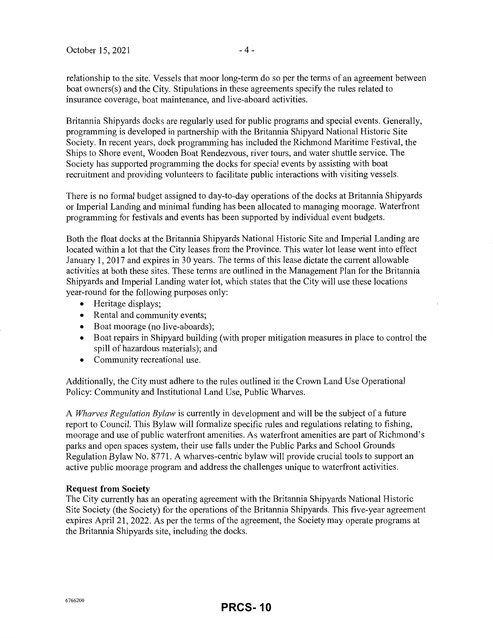relationship to the site. Vessels that moor long-term do so per the tenns of an agreement between boat owners(s) and the City. Stipulations in these agreements specify the rules related to insurance coverage, boat maintenance, and live-aboard activities.

Britannia Shipyards docks are regularly used for public programs and special events. Generally, programming is developed in partnership with the Britannia Shipyard National Historic Site Society. In recent years, dock programming has included the Richmond Maritime Festival, the Ships to Shore event, Wooden Boat Rendezvous, river tours, and water shuttle service. The Society has supported programming the docks for special events by assisting with boat recruitment and providing volunteers to facilitate public interactions with visiting vessels.

There is no formal budget assigned to day-to-day operations of the docks at Britannia Shipyards or Imperial Landing and minimal funding has been allocated to managing moorage. Waterfront programming for festivals and events has been supported by individual event budgets.

Both the float docks at the Britannia Shipyards National Historic Site and Imperial Landing are located within a lot that the City leases from the Province. This water lot lease went into effect January 1, 2017 and expires in 30 years. The terms of this lease dictate the current allowable activities at both these sites. These terms are outlined in the Management Plan for the Britannia Shipyards and Imperial Landing water lot, which states that the City will use these locations year-round for the following purposes only:

- Heritage displays;
- Rental and community events;
- Boat moorage (no live-aboards);
- Boat repairs in Shipyard building (with proper mitigation measures in place to control the spill of hazardous materials); and
- Community recreational use.

Additionally, the City must adhere to the rules outlined in the Crown Land Use Operational Policy: Community and Institutional Land Use, Public Wharves.

A *Wharves Regulation Bylaw* is currently in development and will be the subject of a future report to Council. This Bylaw will formalize specific rules and regulations relating to fishing, moorage and use of public waterfront amenities. As waterfront amenities are part of Richmond's parks and open spaces system, their use falls under the Public Parks and School Grounds Regulation Bylaw No. 8771. A wharves-centric bylaw will provide crucial tools to support an active public moorage program and address the challenges unique to waterfront activities.

### **Request from Society**

The City currently has an operating agreement with the Britannia Shipyards National Historic Site Society (the Society) for the operations of the Britannia Shipyards. This five-year agreement expires April 21, 2022. As per the terms of the agreement, the Society may operate programs at the Britannia Shipyards site, including the docks.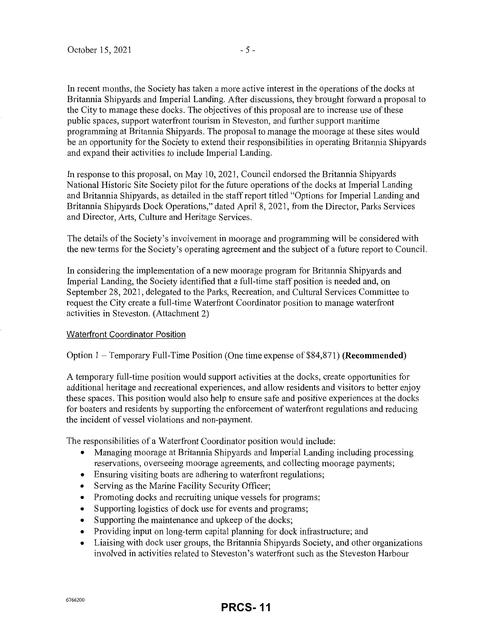In recent months, the Society has taken a more active interest in the operations of the docks at Britannia Shipyards and Imperial Landing. After discussions, they brought forward a proposal to the City to manage these docks. The objectives of this proposal are to increase use of these public spaces, support waterfront tourism in Steveston, and further support maritime programming at Britannia Shipyards. The proposal to manage the moorage at these sites would be an opportunity for the Society to extend their responsibilities in operating Britannia Shipyards and expand their activities to include Imperial Landing.

In response to this proposal, on May 10, 2021, Council endorsed the Britannia Shipyards National Historic Site Society pilot for the future operations of the docks at Imperial Landing and Britannia Shipyards, as detailed in the staff report titled "Options for Imperial Landing and Britannia Shipyards Dock Operations," dated April 8, 2021, from the Director, Parks Services and Director, Arts, Culture and Heritage Services.

The details of the Society's involvement in moorage and programming will be considered with the new tenns for the Society's operating agreement and the subject of a future report to Council.

In considering the implementation of a new moorage program for Britannia Shipyards and Imperial Landing, the Society identified that a full-time staff position is needed and, on September 28, 2021, delegated to the Parks, Recreation, and Cultural Services Committee to request the City create a full-time Waterfront Coordinator position to manage waterfront activities in Steveston. (Attachment 2)

### Waterfront Coordinator Position

Option 1 - Temporary Full-Time Position (One time expense of \$84,871) **(Recommended)** 

A temporary full-time position would support activities at the docks, create opportunities for additional heritage and recreational experiences, and allow residents and visitors to better enjoy these spaces. This position would also help to ensure safe and positive experiences at the docks for boaters and residents by supporting the enforcement of waterfront regulations and reducing the incident of vessel violations and non-payment.

The responsibilities of a Waterfront Coordinator position would include:

- Managing moorage at Britannia Shipyards and Imperial Landing including processing reservations, overseeing moorage agreements, and collecting moorage payments;
- Ensuring visiting boats are adhering to waterfront regulations;
- Serving as the Marine Facility Security Officer;
- Promoting docks and recruiting unique vessels for programs;
- Supporting logistics of dock use for events and programs;
- Supporting the maintenance and upkeep of the docks;
- Providing input on long-term capital planning for dock infrastructure; and
- Liaising with dock user groups, the Britannia Shipyards Society, and other organizations involved in activities related to Steveston's waterfront such as the Steveston Harbour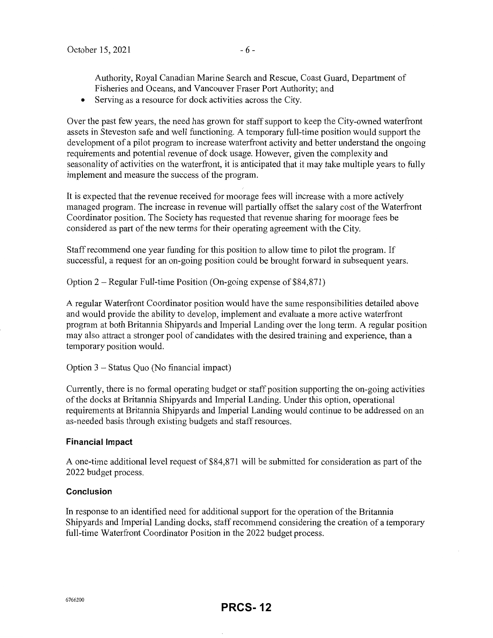Authority, Royal Canadian Marine Search and Rescue, Coast Guard, Department of Fisheries and Oceans, and Vancouver Fraser Port Authority; and

• Serving as a resource for dock activities across the City.

Over the past few years, the need has grown for staff support to keep the City-owned waterfront assets in Steveston safe and well functioning. A temporary full-time position would support the development of a pilot program to increase waterfront activity and better understand the ongoing requirements and potential revenue of dock usage. However, given the complexity and seasonality of activities on the waterfront, it is anticipated that it may take multiple years to fully implement and measure the success of the program.

It is expected that the revenue received for moorage fees will increase with a more actively managed program. The increase in revenue will partially offset the salary cost of the Waterfront Coordinator position. The Society has requested that revenue sharing for moorage fees be considered as part of the new terms for their operating agreement with the City.

Staff recommend one year funding for this position to allow time to pilot the program. If successful, a request for an on-going position could be brought forward in subsequent years.

Option 2 - Regular Full-time Position (On-going expense of \$84,871)

A regular Waterfront Coordinator position would have the same responsibilities detailed above and would provide the ability to develop, implement and evaluate a more active waterfront program at both Britannia Shipyards and Imperial Landing over the long tenn. A regular position may also attract a stronger pool of candidates with the desired training and experience, than a temporary position would.

Option 3 - Status Quo (No financial impact)

Currently, there is no formal operating budget or staff position supporting the on-going activities of the docks at Britannia Shipyards and Imperial Landing. Under this option, operational requirements at Britannia Shipyards and Imperial Landing would continue to be addressed on an as-needed basis through existing budgets and staff resources.

### **Financial Impact**

A one-time additional level request of \$84,871 will be submitted for consideration as part of the 2022 budget process.

### **Conclusion**

In response to an identified need for additional support for the operation of the Britannia Shipyards and Imperial Landing docks, staff recommend considering the creation of a temporary full-time Waterfront Coordinator Position in the 2022 budget process.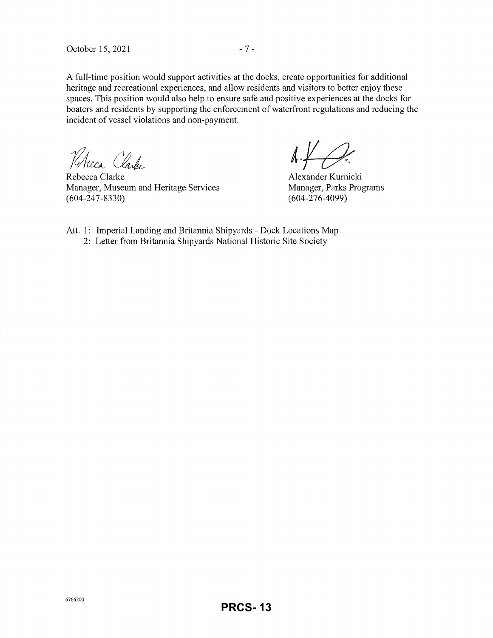A full-time position would support activities at the docks, create opportunities for additional heritage and recreational experiences, and allow residents and visitors to better enjoy these spaces. This position would also help to ensure safe and positive experiences at the docks for boaters and residents by supporting the enforcement of waterfront regulations and reducing the incident of vessel violations and non-payment.

*Kh*cca Clarke

Rebecca Clarke Manager, Museum and Heritage Services (604-247-8330)

 $\Lambda + \Omega$ 

Alexander Kumicki Manager, Parks Programs (604-276-4099)

Att. 1: Imperial Landing and Britannia Shipyards - Dock Locations Map 2: Letter from Britannia Shipyards National Historic Site Society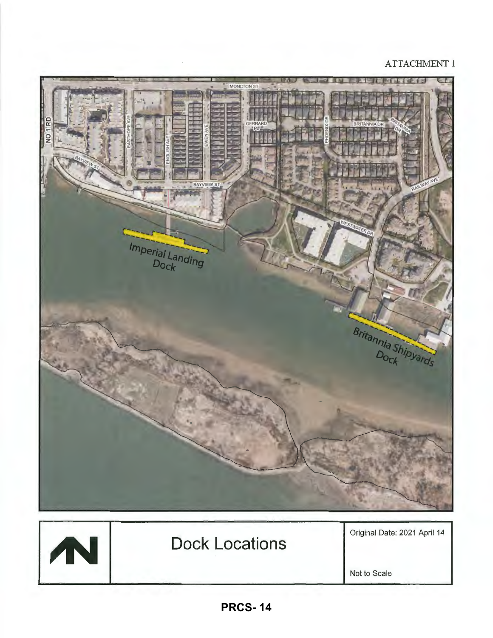## ATTACHMENT 1



Not to Scale